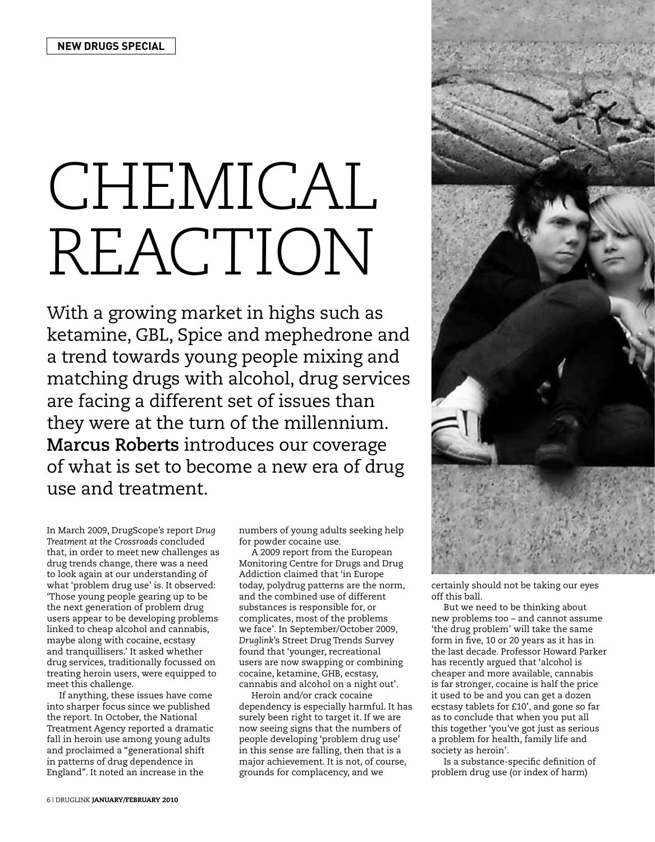## CHEMICAL REACTION

With a growing market in highs such as ketamine, GBL, Spice and mephedrone and a trend towards young people mixing and matching drugs with alcohol, drug services are facing a different set of issues than they were at the turn of the millennium. **Marcus Roberts** introduces our coverage of what is set to become a new era of drug use and treatment.

In March 2009, DrugScope's report *Drug Treatment at the Crossroads* concluded that, in order to meet new challenges as drug trends change, there was a need to look again at our understanding of what 'problem drug use' is. It observed: 'Those young people gearing up to be the next generation of problem drug users appear to be developing problems linked to cheap alcohol and cannabis, maybe along with cocaine, ecstasy and tranquillisers.' It asked whether drug services, traditionally focussed on treating heroin users, were equipped to meet this challenge.

If anything, these issues have come into sharper focus since we published the report. In October, the National Treatment Agency reported a dramatic fall in heroin use among young adults and proclaimed a "generational shift in patterns of drug dependence in England". It noted an increase in the

numbers of young adults seeking help for powder cocaine use.

A 2009 report from the European Monitoring Centre for Drugs and Drug Addiction claimed that 'in Europe today, polydrug patterns are the norm, and the combined use of different substances is responsible for, or complicates, most of the problems we face'. In September/October 2009, *Druglink*'s Street Drug Trends Survey found that 'younger, recreational users are now swapping or combining cocaine, ketamine, GHB, ecstasy, cannabis and alcohol on a night out'.

Heroin and/or crack cocaine dependency is especially harmful. It has surely been right to target it. If we are now seeing signs that the numbers of people developing 'problem drug use' in this sense are falling, then that is a major achievement. It is not, of course, grounds for complacency, and we



certainly should not be taking our eyes off this ball.

But we need to be thinking about new problems too – and cannot assume 'the drug problem' will take the same form in five, 10 or 20 years as it has in the last decade. Professor Howard Parker has recently argued that 'alcohol is cheaper and more available, cannabis is far stronger, cocaine is half the price it used to be and you can get a dozen ecstasy tablets for £10', and gone so far as to conclude that when you put all this together 'you've got just as serious a problem for health, family life and society as heroin'.

Is a substance-specific definition of problem drug use (or index of harm)